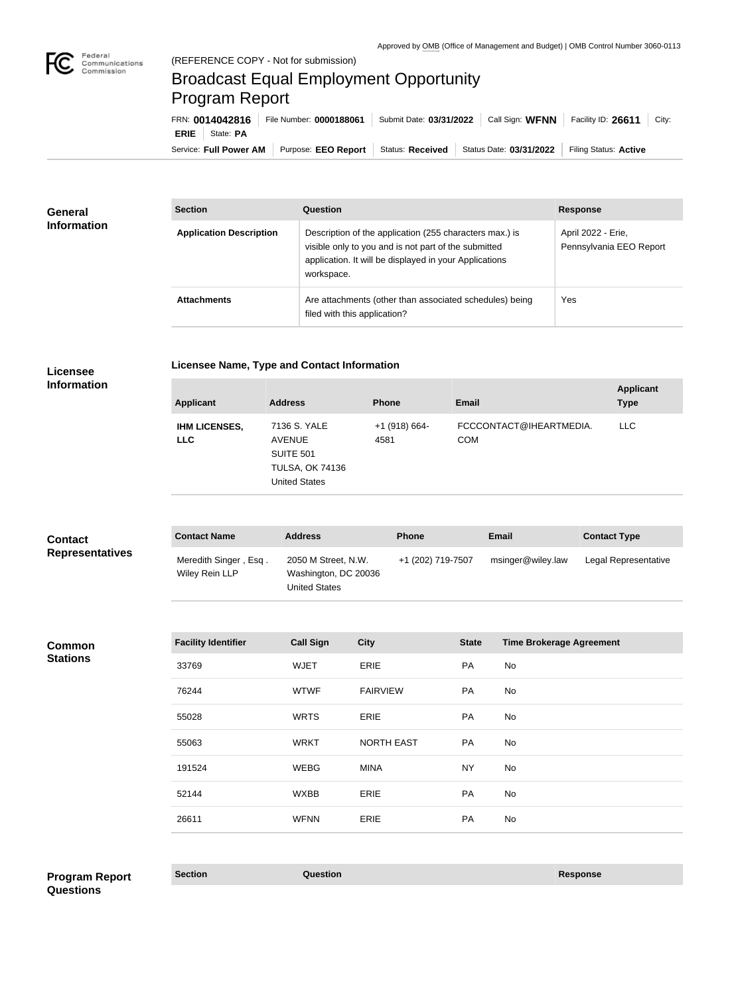

**College** 

## Broadcast Equal Employment Opportunity Program Report

Service: Full Power AM | Purpose: EEO Report | Status: Received | Status Date: 03/31/2022 | Filing Status: Active **ERIE** State: **PA** FRN: **0014042816** File Number: **0000188061** Submit Date: **03/31/2022** Call Sign: **WFNN** Facility ID: **26611** City:

| <b>General</b><br><b>Information</b> | <b>Section</b>                 | Question                                                                                                                                                                                | <b>Response</b>                               |
|--------------------------------------|--------------------------------|-----------------------------------------------------------------------------------------------------------------------------------------------------------------------------------------|-----------------------------------------------|
|                                      | <b>Application Description</b> | Description of the application (255 characters max.) is<br>visible only to you and is not part of the submitted<br>application. It will be displayed in your Applications<br>workspace. | April 2022 - Erie,<br>Pennsylvania EEO Report |
|                                      | <b>Attachments</b>             | Are attachments (other than associated schedules) being<br>filed with this application?                                                                                                 | Yes                                           |

| <b>Licensee</b>                                             |
|-------------------------------------------------------------|
| $\mathbf{L} \cdot \mathbf{L} = \mathbf{L} \cdot \mathbf{L}$ |

**Licensee Name, Type and Contact Information**

**Information**

| <b>Applicant</b>                   | <b>Address</b>                                                                                      | <b>Phone</b>            | <b>Email</b>                          | <b>Applicant</b><br><b>Type</b> |
|------------------------------------|-----------------------------------------------------------------------------------------------------|-------------------------|---------------------------------------|---------------------------------|
| <b>IHM LICENSES,</b><br><b>LLC</b> | 7136 S. YALE<br><b>AVENUE</b><br><b>SUITE 501</b><br><b>TULSA, OK 74136</b><br><b>United States</b> | $+1$ (918) 664-<br>4581 | FCCCONTACT@IHEARTMEDIA.<br><b>COM</b> | <b>LLC</b>                      |

| <b>Contact</b>         | <b>Contact Name</b>                     | <b>Address</b>                                                      | <b>Phone</b>      | Email             | <b>Contact Type</b>  |
|------------------------|-----------------------------------------|---------------------------------------------------------------------|-------------------|-------------------|----------------------|
| <b>Representatives</b> | Meredith Singer, Esq.<br>Wiley Rein LLP | 2050 M Street, N.W.<br>Washington, DC 20036<br><b>United States</b> | +1 (202) 719-7507 | msinger@wiley.law | Legal Representative |

| <b>Common</b>   |
|-----------------|
| <b>Stations</b> |

| <b>Facility Identifier</b> | <b>Call Sign</b> | <b>City</b>       | <b>State</b> | <b>Time Brokerage Agreement</b> |
|----------------------------|------------------|-------------------|--------------|---------------------------------|
| 33769                      | <b>WJET</b>      | ERIE              | PA           | No                              |
| 76244                      | <b>WTWF</b>      | <b>FAIRVIEW</b>   | PA           | No                              |
| 55028                      | <b>WRTS</b>      | ERIE              | PA           | No                              |
| 55063                      | <b>WRKT</b>      | <b>NORTH EAST</b> | PA           | No                              |
| 191524                     | <b>WEBG</b>      | <b>MINA</b>       | <b>NY</b>    | No                              |
| 52144                      | <b>WXBB</b>      | ERIE              | PA           | No                              |
| 26611                      | <b>WFNN</b>      | ERIE              | PA           | No                              |
|                            |                  |                   |              |                                 |

**Section Question Response Program Report Questions**